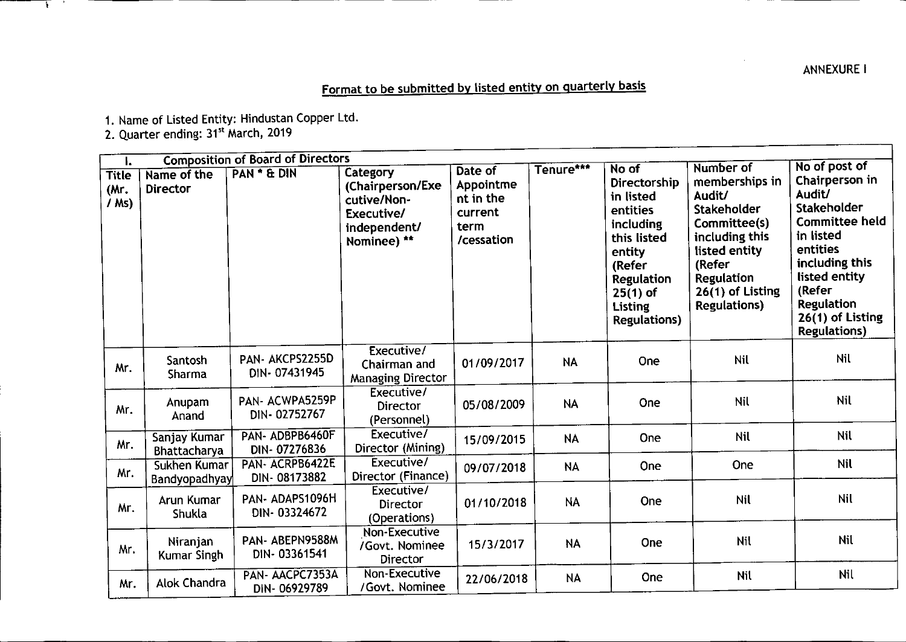## **ANNEXURE I**

## Format to be submitted by listed entity on quarterly basis

1. Name of Listed Entity: Hindustan Copper Ltd.

2. Quarter ending: 31<sup>st</sup> March, 2019

 $\mathbf{L}$ - 21

|                                 | <b>Composition of Board of Directors</b><br>I. |                                 |                                                                                          |                                                                    |           |                                                                                                                                                                            |                                                                                                                                                                                    |                                                                                                                                                                                                                  |
|---------------------------------|------------------------------------------------|---------------------------------|------------------------------------------------------------------------------------------|--------------------------------------------------------------------|-----------|----------------------------------------------------------------------------------------------------------------------------------------------------------------------------|------------------------------------------------------------------------------------------------------------------------------------------------------------------------------------|------------------------------------------------------------------------------------------------------------------------------------------------------------------------------------------------------------------|
| <b>Title</b><br>(Mr.<br>$/$ Ms) | Name of the<br><b>Director</b>                 | PAN * & DIN                     | Category<br>(Chairperson/Exe<br>cutive/Non-<br>Executive/<br>independent/<br>Nominee) ** | Date of<br>Appointme<br>nt in the<br>current<br>term<br>/cessation | Tenure*** | No of<br>Directorship<br>in listed<br>entities<br>including<br>this listed<br>entity<br>(Refer<br><b>Regulation</b><br>$25(1)$ of<br><b>Listing</b><br><b>Regulations)</b> | Number of<br>memberships in<br>Audit/<br><b>Stakeholder</b><br>Committee(s)<br>including this<br>listed entity<br>(Refer<br>Regulation<br>26(1) of Listing<br><b>Regulations</b> ) | No of post of<br>Chairperson in<br>Audit/<br>Stakeholder<br><b>Committee held</b><br>in listed<br>entities<br>including this<br>listed entity<br>(Refer<br>Regulation<br>26(1) of Listing<br><b>Regulations)</b> |
| Mr.                             | Santosh<br>Sharma                              | PAN-AKCPS2255D<br>DIN-07431945  | Executive/<br>Chairman and<br><b>Managing Director</b>                                   | 01/09/2017                                                         | <b>NA</b> | One                                                                                                                                                                        | <b>Nil</b>                                                                                                                                                                         | Nil                                                                                                                                                                                                              |
| Mr.                             | Anupam<br>Anand                                | PAN- ACWPA5259P<br>DIN-02752767 | Executive/<br><b>Director</b><br>(Personnel)                                             | 05/08/2009                                                         | <b>NA</b> | One                                                                                                                                                                        | Nil                                                                                                                                                                                | <b>Nil</b>                                                                                                                                                                                                       |
| Mr.                             | Sanjay Kumar<br>Bhattacharya                   | PAN-ADBPB6460F<br>DIN-07276836  | Executive/<br>Director (Mining)                                                          | 15/09/2015                                                         | <b>NA</b> | One                                                                                                                                                                        | <b>Nil</b>                                                                                                                                                                         | <b>Nil</b>                                                                                                                                                                                                       |
| Mr.                             | Sukhen Kumar<br>Bandyopadhyay                  | PAN- ACRPB6422E<br>DIN-08173882 | Executive/<br>Director (Finance)                                                         | 09/07/2018                                                         | <b>NA</b> | One                                                                                                                                                                        | One                                                                                                                                                                                | <b>Nil</b>                                                                                                                                                                                                       |
| Mr.                             | Arun Kumar<br>Shukla                           | PAN-ADAPS1096H<br>DIN-03324672  | Executive/<br><b>Director</b><br>(Operations)                                            | 01/10/2018                                                         | <b>NA</b> | <b>One</b>                                                                                                                                                                 | <b>Nil</b>                                                                                                                                                                         | <b>Nil</b>                                                                                                                                                                                                       |
| Mr.                             | Niranjan<br>Kumar Singh                        | PAN-ABEPN9588M<br>DIN-03361541  | Non-Executive<br>/Govt. Nominee<br>Director                                              | 15/3/2017                                                          | <b>NA</b> | One                                                                                                                                                                        | Nil                                                                                                                                                                                | Nil                                                                                                                                                                                                              |
| Mr.                             | Alok Chandra                                   | PAN-AACPC7353A<br>DIN-06929789  | Non-Executive<br>/Govt. Nominee                                                          | 22/06/2018                                                         | <b>NA</b> | One                                                                                                                                                                        | Nil                                                                                                                                                                                | Nil                                                                                                                                                                                                              |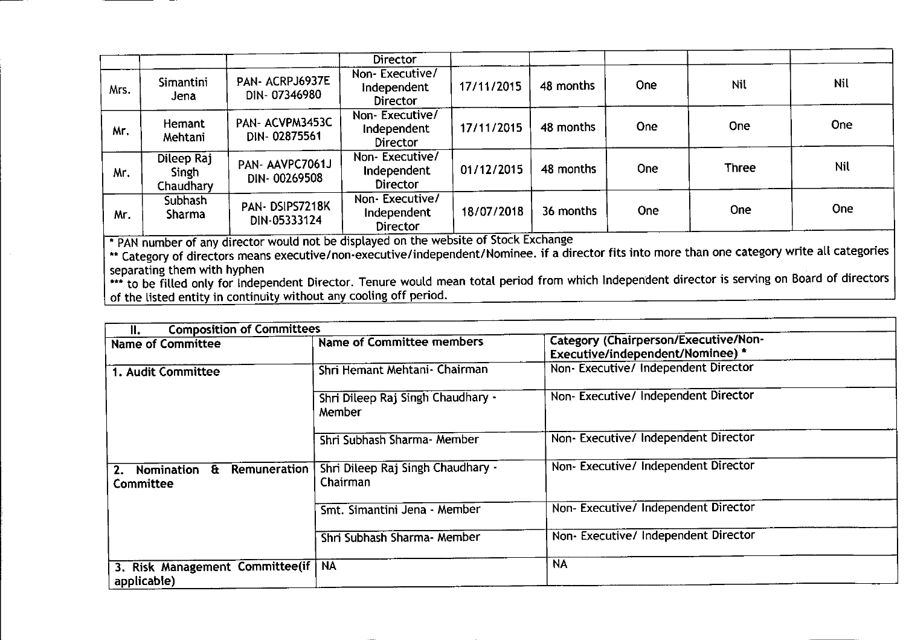|      |                                  |                                                                                        | <b>Director</b>                                  |            |           |            |              |                                                          |
|------|----------------------------------|----------------------------------------------------------------------------------------|--------------------------------------------------|------------|-----------|------------|--------------|----------------------------------------------------------|
| Mrs. | Simantini<br>Jena                | PAN- ACRPJ6937E<br>DIN-07346980                                                        | Non-Executive/<br>Independent<br><b>Director</b> | 17/11/2015 | 48 months | One        | Nil          | Nil                                                      |
| Mr.  | Hemant<br>Mehtani                | PAN-ACVPM3453C<br>DIN-02875561                                                         | Non-Executive/<br>Independent<br><b>Director</b> | 17/11/2015 | 48 months | <b>One</b> | <b>One</b>   | <b>One</b>                                               |
| Mr.  | Dileep Raj<br>Singh<br>Chaudhary | PAN-AAVPC7061J<br>DIN-00269508                                                         | Non-Executive/<br>Independent<br><b>Director</b> | 01/12/2015 | 48 months | <b>One</b> | <b>Three</b> | Nil                                                      |
| Mr.  | <b>Subhash</b><br><b>Sharma</b>  | PAN-DSIPS7218K<br>DIN-05333124                                                         | Non-Executive/<br>Independent<br><b>Director</b> | 18/07/2018 | 36 months | <b>One</b> | <b>One</b>   | <b>One</b>                                               |
|      |                                  | I * PAN number of any director would not be displayed on the website of Stock Exchange |                                                  |            |           |            |              | $\bullet$ . The set of $\bullet$ is the set of $\bullet$ |

\*\* Category of directors means executive/non-executive/independent/Nominee. if a director fits into more than one category write all categorie separating them with hyphen

••• to be filled only for Independent Director. Tenure would mean total period from which Independent director is serving on Board of directors of the listed entity in continuity without any cooling off period.

| <b>Composition of Committees</b><br>Ш.              |                                               |                                                                                 |
|-----------------------------------------------------|-----------------------------------------------|---------------------------------------------------------------------------------|
| <b>Name of Committee</b>                            | <b>Name of Committee members</b>              | <b>Category (Chairperson/Executive/Non-</b><br>Executive/independent/Nominee) * |
| 1. Audit Committee                                  | Shri Hemant Mehtani - Chairman                | Non-Executive/ Independent Director                                             |
|                                                     | Shri Dileep Raj Singh Chaudhary -<br>Member   | Non-Executive/Independent Director                                              |
|                                                     | Shri Subhash Sharma- Member                   | Non-Executive/Independent Director                                              |
| Nomination & Remuneration<br><b>Committee</b>       | Shri Dileep Raj Singh Chaudhary -<br>Chairman | Non- Executive/ Independent Director                                            |
|                                                     | Smt. Simantini Jena - Member                  | Non- Executive/ Independent Director                                            |
|                                                     | Shri Subhash Sharma- Member                   | Non- Executive/ Independent Director                                            |
| 3. Risk Management Committee(if   NA<br>applicable) |                                               | <b>NA</b>                                                                       |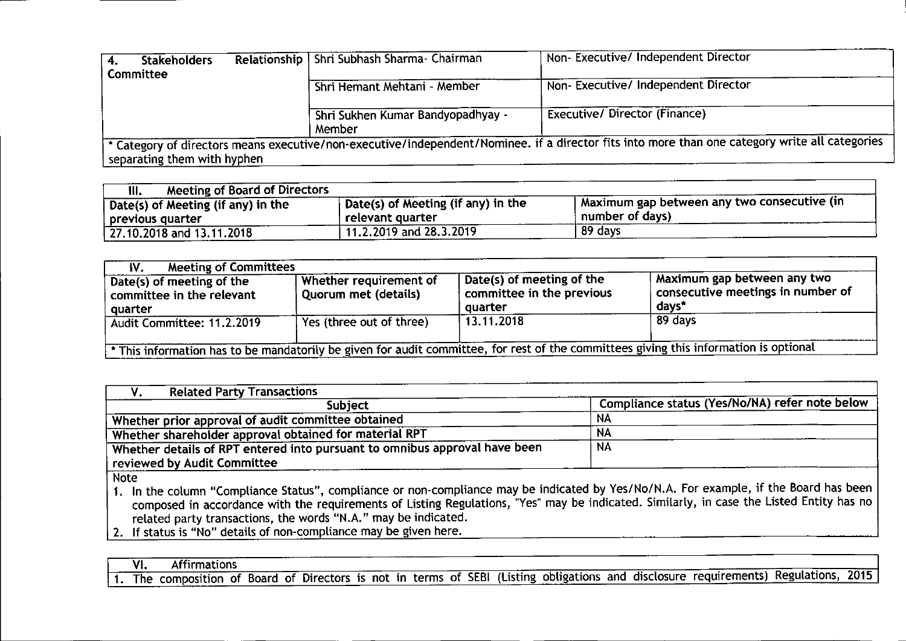| <b>Stakeholders</b>         | Relationship   Shri Subhash Sharma- Chairman | Non-Executive/ Independent Director                                                                                                            |
|-----------------------------|----------------------------------------------|------------------------------------------------------------------------------------------------------------------------------------------------|
| Committee                   |                                              |                                                                                                                                                |
|                             | Shri Hemant Mehtani - Member                 | Non-Executive/ Independent Director                                                                                                            |
|                             | Shri Sukhen Kumar Bandyopadhyay -<br>Member  | <b>Executive/ Director (Finance)</b>                                                                                                           |
| separating them with hyphen |                                              | * Category of directors means executive/non-executive/independent/Nominee. if a director fits into more than one category write all categories |

| <b>Meeting of Board of Directors</b><br>III. |                                         |                                               |
|----------------------------------------------|-----------------------------------------|-----------------------------------------------|
| Date(s) of Meeting (if any) in the           | Date(s) of Meeting (if any) in the      | I Maximum gap between any two consecutive (in |
| previous quarter                             | relevant quarter                        | number of days)                               |
| $\frac{1}{27.10.2018}$ and 13.11.2018        | $^{\backprime}$ 11.2.2019 and 28.3.2019 | 89 days                                       |

| <b>Meeting of Committees</b><br>IV.                                                                                                   |                                                |                                                                   |                                                                           |  |  |
|---------------------------------------------------------------------------------------------------------------------------------------|------------------------------------------------|-------------------------------------------------------------------|---------------------------------------------------------------------------|--|--|
| Date(s) of meeting of the<br>committee in the relevant<br>quarter                                                                     | Whether requirement of<br>Quorum met (details) | Date(s) of meeting of the<br>committee in the previous<br>quarter | Maximum gap between any two<br>consecutive meetings in number of<br>days* |  |  |
| Audit Committee: 11.2.2019                                                                                                            | Yes (three out of three)                       | 13.11.2018                                                        | 89 days                                                                   |  |  |
| * This information has to be mandatorily be given for audit committee, for rest of the committees giving this information is optional |                                                |                                                                   |                                                                           |  |  |

| <b>Related Party Transactions</b>                                          |                                                |
|----------------------------------------------------------------------------|------------------------------------------------|
| <b>Subject</b>                                                             | Compliance status (Yes/No/NA) refer note below |
| Whether prior approval of audit committee obtained                         | NA                                             |
| Whether shareholder approval obtained for material RPT                     | NА                                             |
| Whether details of RPT entered into pursuant to omnibus approval have been | <b>NA</b>                                      |
| reviewed by Audit Committee                                                |                                                |
| <b>Note</b>                                                                |                                                |

1. In the column "Compliance Status", compliance or non-compliance may be indicated by Yes/No/N.A. For example, if the Board has been composed in accordance with the requirements of Listing Regulations, 'Yes" may be indicated. Similarly, in case the Listed Entity has no related party transactions, the words "N.A." may be indicated,

2, If status is "No" details of non-compliance may be given here.

<u>I VI. Affirmations and the contract of the contract of the contract of the contract of the contract of the contract of the contract of the contract of the contract of the contract of the contract of the contract of the co</u> I 1. The composition of Board of Directors is not in terms of SEBI (Listing obligations and disclosure requirements) Regulations, 2015 I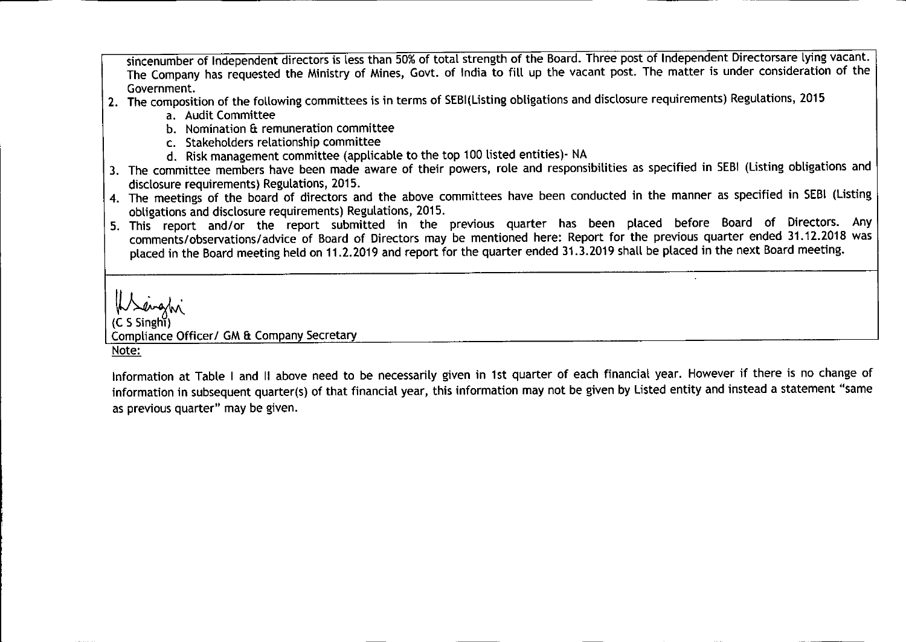sincenumber of Independent directors is less than 50% of total strength of the Board. Three post of Independent Directorsare lying vacant. The Company has requested the Ministry of Mines, Govt. of India to fill up the vacant post. The matter is under consideration of the Government.

- 2. The composition of the following committees is in terms of SEBI(Listing obligations and disclosure requirements) Regulations, 2015
	- a. Audit Committee
	- b. Nomination & remuneration committee
	- c. Stakeholders relationship committee
	- d. Riskmanagement committee (applicable to the top 100 listed entities)- NA
- 3. The committee members have been made aware of their powers, role and responsibilities as specified in SEBI(Listing obligations and disclosure requirements) Regulations, 2015.
- 4. The meetings of the board of directors and the above committees have been conducted in the manner as specified in SEBI(Listing obligations and disclosure requirements) Regulations, 2015.
- 5. This report and/or the report submitted in the previous quarter has been placed before Board of Directors. Any comments/observations/advice of Board of Directors may be mentioned here: Report for the previous quarter ended 31.12.2018 was placed in the Board meeting held on 11.2.2019 and report for the quarter ended 31.3.2019 shall be placed in the next Board meeting.

www.<br>(C S Singhi) Compliance Officer/ GM & Company Secretary Note:

Information at Table I and II above need to be necessarily given in 1st quarter of each financial year. However if there is no change of information in subsequent quarter(s) of that financial year, this information may not be given by Listed entity and instead a statement "same as previous quarter" may be given.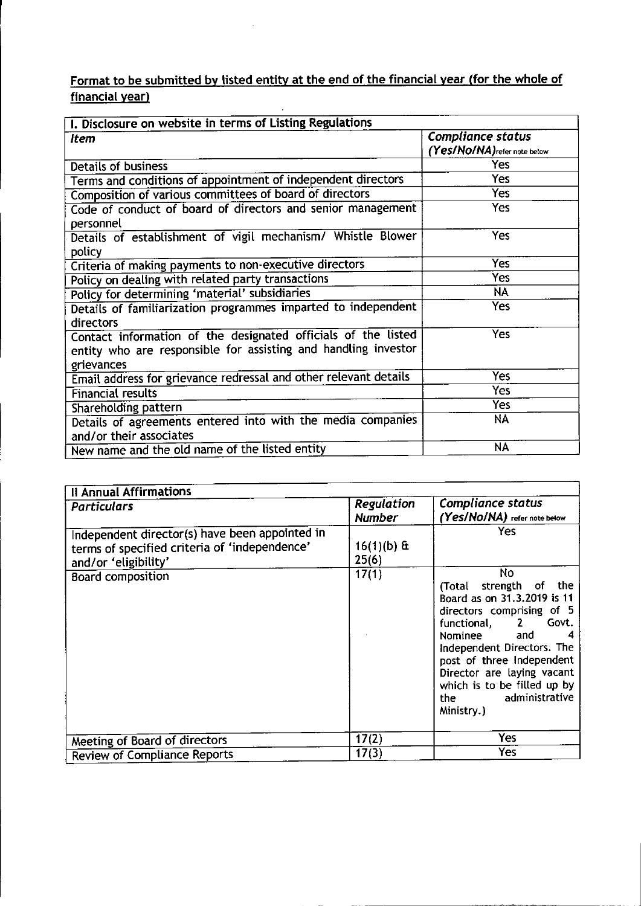## Format to be submitted by listed entity at the end of the financial year (for the whole of financial year)

 $\mathcal{L}_{\mathcal{A}}$ 

| I. Disclosure on website in terms of Listing Regulations         |                              |  |  |  |  |
|------------------------------------------------------------------|------------------------------|--|--|--|--|
| <b>Item</b>                                                      | <b>Compliance status</b>     |  |  |  |  |
|                                                                  | (Yes/No/NA) refer note below |  |  |  |  |
| <b>Details of business</b>                                       | Yes                          |  |  |  |  |
| Terms and conditions of appointment of independent directors     | Yes                          |  |  |  |  |
| Composition of various committees of board of directors          | <b>Yes</b>                   |  |  |  |  |
| Code of conduct of board of directors and senior management      | <b>Yes</b>                   |  |  |  |  |
| personnel                                                        |                              |  |  |  |  |
| Details of establishment of vigil mechanism/ Whistle Blower      | Yes                          |  |  |  |  |
| policy                                                           |                              |  |  |  |  |
| Criteria of making payments to non-executive directors           | <b>Yes</b>                   |  |  |  |  |
| Policy on dealing with related party transactions                | <b>Yes</b>                   |  |  |  |  |
| Policy for determining 'material' subsidiaries                   | <b>NA</b>                    |  |  |  |  |
| Details of familiarization programmes imparted to independent    | Yes                          |  |  |  |  |
| directors                                                        |                              |  |  |  |  |
| Contact information of the designated officials of the listed    | Yes                          |  |  |  |  |
| entity who are responsible for assisting and handling investor   |                              |  |  |  |  |
| grievances                                                       |                              |  |  |  |  |
| Email address for grievance redressal and other relevant details | <b>Yes</b>                   |  |  |  |  |
| <b>Financial results</b>                                         | Yes                          |  |  |  |  |
| Shareholding pattern                                             | Yes                          |  |  |  |  |
| Details of agreements entered into with the media companies      | <b>NA</b>                    |  |  |  |  |
| and/or their associates                                          |                              |  |  |  |  |
| New name and the old name of the listed entity                   | <b>NA</b>                    |  |  |  |  |

| <b>Il Annual Affirmations</b>                                                                                           |                             |                                                                                                                                                                                                                                                                                                       |
|-------------------------------------------------------------------------------------------------------------------------|-----------------------------|-------------------------------------------------------------------------------------------------------------------------------------------------------------------------------------------------------------------------------------------------------------------------------------------------------|
| <b>Particulars</b>                                                                                                      | Regulation<br><b>Number</b> | <b>Compliance status</b><br>(Yes/NO/NA) refer note below                                                                                                                                                                                                                                              |
| Independent director(s) have been appointed in<br>terms of specified criteria of 'independence'<br>and/or 'eligibility' | $16(1)(b)$ &<br>25(6)       | Yes                                                                                                                                                                                                                                                                                                   |
| <b>Board composition</b>                                                                                                | 17(1)                       | No<br>(Total strength of<br>the<br>Board as on 31.3.2019 is 11<br>directors comprising of 5<br>Govt.<br>functional, 2<br>Nominee and<br>4<br>Independent Directors. The<br>post of three Independent<br>Director are laying vacant<br>which is to be filled up by<br>the administrative<br>Ministry.) |
| <b>Meeting of Board of directors</b>                                                                                    | 17(2)                       | Yes                                                                                                                                                                                                                                                                                                   |
| <b>Review of Compliance Reports</b>                                                                                     | 17(3)                       | Yes                                                                                                                                                                                                                                                                                                   |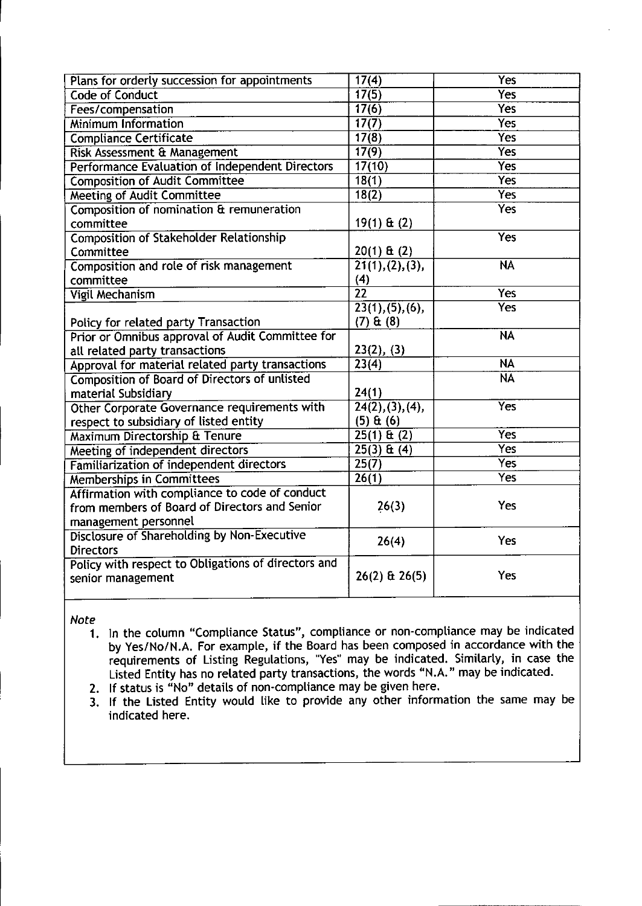| Plans for orderly succession for appointments       | 17(4)              | Yes                    |
|-----------------------------------------------------|--------------------|------------------------|
| <b>Code of Conduct</b>                              | 17(5)              | <b>Yes</b>             |
| Fees/compensation                                   | 17(6)              | Yes                    |
| <b>Minimum Information</b>                          | 17(7)              | <b>Yes</b>             |
| <b>Compliance Certificate</b>                       | 17(8)              | <b>Yes</b>             |
| <b>Risk Assessment &amp; Management</b>             | 17(9)              | Yes                    |
| Performance Evaluation of Independent Directors     | 17(10)             | <b>Yes</b>             |
| <b>Composition of Audit Committee</b>               | 18(1)              | Yes <sup>-</sup>       |
| <b>Meeting of Audit Committee</b>                   | 18(2)              | Yes <sup>-</sup>       |
| Composition of nomination & remuneration            |                    | <b>Yes</b>             |
| committee                                           | $19(1)$ & (2)      |                        |
| <b>Composition of Stakeholder Relationship</b>      |                    | <b>Yes</b>             |
| Committee                                           | $20(1)$ & (2)      |                        |
| Composition and role of risk management             | 21(1), (2), (3),   | <b>NA</b>              |
| committee                                           | (4)                |                        |
| <b>Vigil Mechanism</b>                              | $\overline{22}$    | $\overline{Yes}$       |
|                                                     | 23(1), (5), (6),   | Yes                    |
| Policy for related party Transaction                | (7) <b>8</b> (8)   |                        |
| Prior or Omnibus approval of Audit Committee for    |                    | <b>NA</b>              |
| all related party transactions                      | 23(2), (3)         |                        |
| Approval for material related party transactions    | $\overline{23(4)}$ | <b>NA</b>              |
| Composition of Board of Directors of unlisted       |                    | $\overline{\text{NA}}$ |
| material Subsidiary                                 | 24(1)              |                        |
| Other Corporate Governance requirements with        | 24(2), (3), (4),   | $\overline{Yes}$       |
| respect to subsidiary of listed entity              | $(5)$ & $(6)$      |                        |
| Maximum Directorship & Tenure                       | $25(1) \& (2)$     | Yes                    |
| Meeting of independent directors                    | $25(3)$ & (4)      | <b>Yes</b>             |
| Familiarization of independent directors            | 25(7)              | Yes <sup>-</sup>       |
| <b>Memberships in Committees</b>                    | 26(1)              | Yes <sup>-</sup>       |
| Affirmation with compliance to code of conduct      |                    |                        |
| from members of Board of Directors and Senior       | 26(3)              | <b>Yes</b>             |
| management personnel                                |                    |                        |
| Disclosure of Shareholding by Non-Executive         | 26(4)              | Yes                    |
| <b>Directors</b>                                    |                    |                        |
| Policy with respect to Obligations of directors and |                    |                        |
| senior management                                   | $26(2)$ & $26(5)$  | Yes                    |
|                                                     |                    |                        |

*Note*

l,

- 1. In the column "Compliance Status", compliance or non-compliance may be indicated by Yes/No/N.A. For example, if the Board has been composed in accordance with the requirements of Listing Regulations, "Yes" may be indicated. Similarly, in case the Listed Entity has no related party transactions, the words "N.A." may be indicated.
- 2. If status is "No" details of non-compliance may be given here.
- 3. If the Listed Entity would like to provide any other information the same may be indicated here.